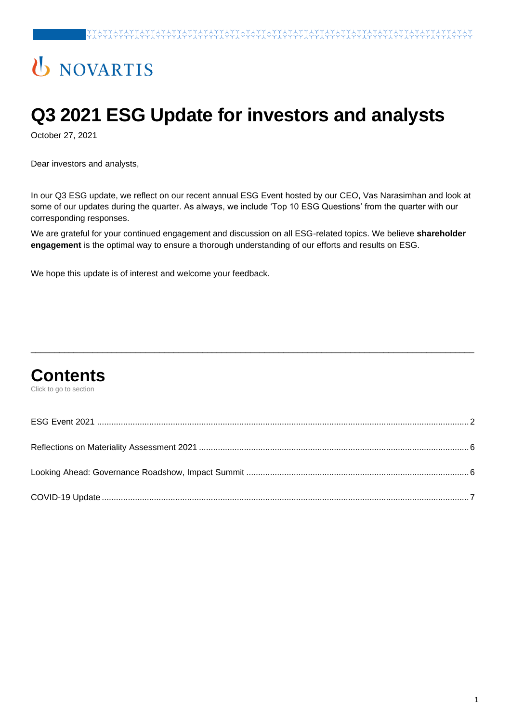# U NOVARTIS

# **Q3 2021 ESG Update for investors and analysts**

October 27, 2021

Dear investors and analysts,

In our Q3 ESG update, we reflect on our recent annual ESG Event hosted by our CEO, Vas Narasimhan and look at some of our updates during the quarter. As always, we include 'Top 10 ESG Questions' from the quarter with our corresponding responses.

We are grateful for your continued engagement and discussion on all ESG-related topics. We believe **shareholder engagement** is the optimal way to ensure a thorough understanding of our efforts and results on ESG.

We hope this update is of interest and welcome your feedback.

# **Contents**

Click to go to section

\_\_\_\_\_\_\_\_\_\_\_\_\_\_\_\_\_\_\_\_\_\_\_\_\_\_\_\_\_\_\_\_\_\_\_\_\_\_\_\_\_\_\_\_\_\_\_\_\_\_\_\_\_\_\_\_\_\_\_\_\_\_\_\_\_\_\_\_\_\_\_\_\_\_\_\_\_\_\_\_\_\_\_\_\_\_\_\_\_\_\_\_\_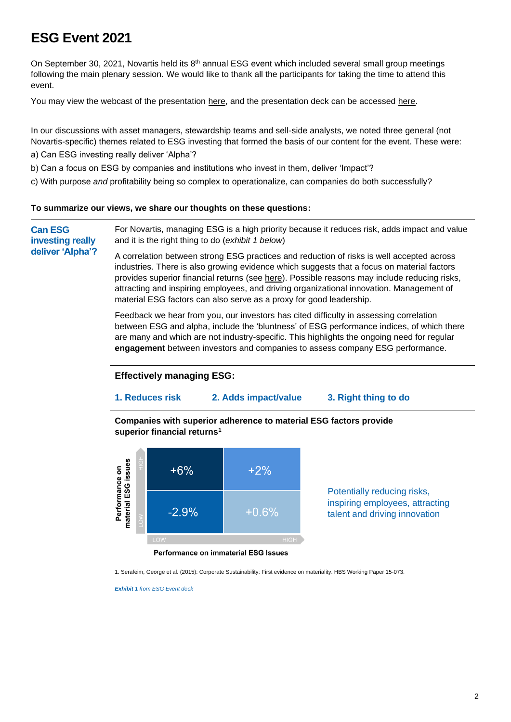# <span id="page-1-0"></span>**ESG Event 2021**

On September 30, 2021, Novartis held its  $8<sup>th</sup>$  annual ESG event which included several small group meetings following the main plenary session. We would like to thank all the participants for taking the time to attend this event.

You may view the webcast of the presentation [here,](https://onlinexperiences.com/scripts/Server.nxp?LASCmd=AI:4;F:QS!10100&ShowUUID=31827FFF-26CE-40D7-9594-755B78163C9A&LangLocaleID=1033&Referrer=https%3A%2F%2Fwww.novartis.com%2F) and the presentation deck can be accessed [here.](https://www.novartis.com/sites/novartiscom/files/2021-09-novartis-esg-investor-day-presentation.pdf)

In our discussions with asset managers, stewardship teams and sell-side analysts, we noted three general (not Novartis-specific) themes related to ESG investing that formed the basis of our content for the event. These were:

- a) Can ESG investing really deliver 'Alpha'?
- b) Can a focus on ESG by companies and institutions who invest in them, deliver 'Impact'?

c) With purpose *and* profitability being so complex to operationalize, can companies do both successfully?

#### **To summarize our views, we share our thoughts on these questions:**

**Can ESG investing really deliver 'Alpha'?**

For Novartis, managing ESG is a high priority because it reduces risk, adds impact and value and it is the right thing to do (*exhibit 1 below*)

A correlation between strong ESG practices and reduction of risks is well accepted across industries. There is also growing [evidence](https://dash.harvard.edu/bitstream/handle/1/14369106/15-073.pdf) which suggests that a focus on material factors provides superior financial returns (see [here\)](https://papers.ssrn.com/sol3/papers.cfm?abstract_id=2575912). Possible reasons may include reducing risks, attracting and inspiring employees, and driving organizational innovation. Management of material ESG factors can also serve as a proxy for good leadership.

Feedback we hear from you, our investors has cited difficulty in assessing correlation between ESG and alpha, include the 'bluntness' of ESG performance indices, of which there are many and which are not industry-specific. This highlights the ongoing need for regular **engagement** between investors and companies to assess company ESG performance.

#### **Effectively managing ESG:**

#### **1. Reduces risk 2. Adds impact/value 3. Right thing to do**

**Companies with superior adherence to material ESG factors provide superior financial returns<sup>1</sup>**



Potentially reducing risks, inspiring employees, attracting talent and driving innovation

Performance on immaterial ESG Issues

1. Serafeim, George et al. (2015): Corporate Sustainability: First evidence on materiality. HBS Working Paper 15-073.

*Exhibit 1 from ESG Event deck*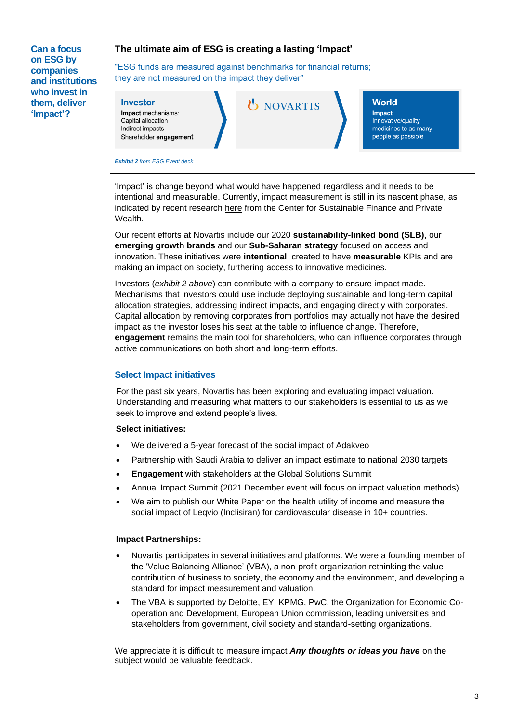**Can a focus on ESG by companies and institutions who invest in them, deliver 'Impact'?**

#### **The ultimate aim of ESG is creating a lasting 'Impact'**

"ESG funds are measured against benchmarks for financial returns; they are not measured on the impact they deliver"

#### **Investor**

Impact mechanisms: Capital allocation Indirect impacts Shareholder engagement *U* NOVARTIS

#### **World**

**Impact** Innovative/quality medicines to as many people as possible

*Exhibit 2 from ESG Event deck*

'Impact' is change beyond what would have happened regardless and it needs to be intentional and measurable. Currently, impact measurement is still in its nascent phase, as indicated by recent research [here](https://www.csp.uzh.ch/en/research/Academic-Research/Investor-Impact.html) from the Center for Sustainable Finance and Private Wealth.

Our recent efforts at Novartis include our 2020 **sustainability-linked bond (SLB)**, our **emerging growth brands** and our **Sub-Saharan strategy** focused on access and innovation. These initiatives were **intentional**, created to have **measurable** KPIs and are making an impact on society, furthering access to innovative medicines.

Investors (*exhibit 2 above*) can contribute with a company to ensure impact made. Mechanisms that investors could use include deploying sustainable and long-term capital allocation strategies, addressing indirect impacts, and engaging directly with corporates. Capital allocation by removing corporates from portfolios may actually not have the desired impact as the investor loses his seat at the table to influence change. Therefore, **engagement** remains the main tool for shareholders, who can influence corporates through active communications on both short and long-term efforts.

#### **Select Impact initiatives**

For the past six years, Novartis has been exploring and evaluating impact valuation. Understanding and measuring what matters to our stakeholders is essential to us as we seek to improve and extend people's lives.

#### **Select initiatives:**

- We delivered a 5-year forecast of the social impact of Adakveo
- Partnership with Saudi Arabia to deliver an impact estimate to national 2030 targets
- **Engagement** with stakeholders at the Global Solutions Summit
- Annual Impact Summit (2021 December event will focus on impact valuation methods)
- We aim to publish our White Paper on the health utility of income and measure the social impact of Leqvio (Inclisiran) for cardiovascular disease in 10+ countries.

#### **Impact Partnerships:**

- Novartis participates in several initiatives and platforms. We were a founding member of the 'Value Balancing Alliance' (VBA), a non-profit organization rethinking the value contribution of business to society, the economy and the environment, and developing a standard for impact measurement and valuation.
- The VBA is supported by Deloitte, EY, KPMG, PwC, the Organization for Economic Cooperation and Development, European Union commission, leading universities and stakeholders from government, civil society and standard-setting organizations.

We appreciate it is difficult to measure impact *Any thoughts or ideas you have* on the subject would be valuable feedback.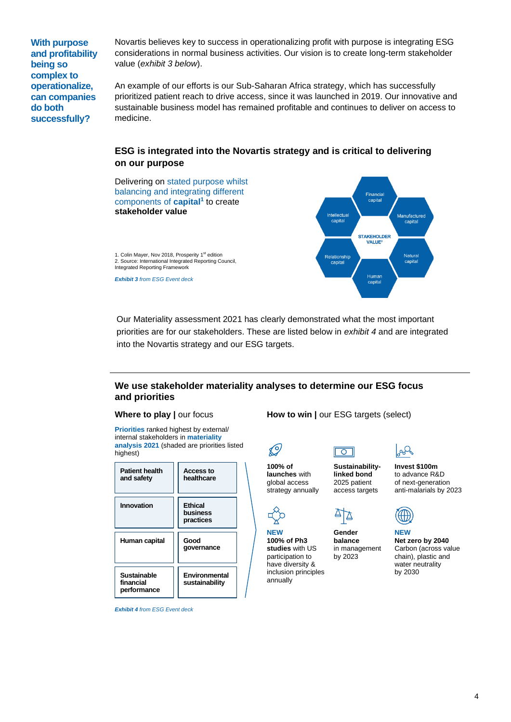**With purpose and profitability being so complex to operationalize, can companies do both successfully?**

Novartis believes key to success in operationalizing profit with purpose is integrating ESG considerations in normal business activities. Our vision is to create long-term stakeholder value (*exhibit 3 below*).

An example of our efforts is our Sub-Saharan Africa strategy, which has successfully prioritized patient reach to drive access, since it was launched in 2019. Our innovative and sustainable business model has remained profitable and continues to deliver on access to medicine.

#### **ESG is integrated into the Novartis strategy and is critical to delivering on our purpose**



 Our Materiality assessment 2021 has clearly demonstrated what the most important priorities are for our stakeholders. These are listed below in *exhibit 4* and are integrated into the Novartis strategy and our ESG targets.

#### **We use stakeholder materiality analyses to determine our ESG focus and priorities**

#### **Where to play | our focus**

**How to win | our ESG targets (select)** 

 $\boxed{\circ}$ 

**Priorities** ranked highest by external/ internal stakeholders in **materiality analysis 2021** (shaded are priorities listed highest)

| <b>Patient health</b><br>and safety            | <b>Access to</b><br>healthcare          |
|------------------------------------------------|-----------------------------------------|
| Innovation                                     | <b>Ethical</b><br>business<br>practices |
| Human capital                                  | Good<br>qovernance                      |
| <b>Sustainable</b><br>financial<br>performance | Environmental<br>sustainability         |

*Exhibit 4 from ESG Event deck*

**Sustainabilitylinked bond**  2025 patient access targets

**Gender balance** in management by 2023

∆ि



**100% of launches** with global access strategy annually

 $\mathcal{Q}$ 

**NEW 100% of Ph3 studies** with US participation to have diversity & inclusion principles annually



**Invest \$100m** to advance R&D of next-generation anti-malarials by 2023



**NEW Net zero by 2040** Carbon (across value chain), plastic and water neutrality by 2030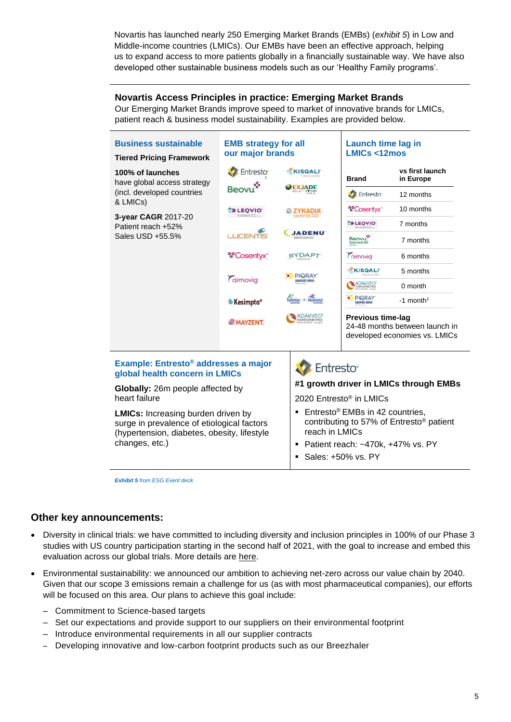Novartis has launched nearly 250 Emerging Market Brands (EMBs) (*exhibit 5*) in Low and Middle-income countries (LMICs). Our EMBs have been an effective approach, helping us to expand access to more patients globally in a financially sustainable way. We have also developed other sustainable business models such as our 'Healthy Family programs'.

#### **Novartis Access Principles in practice: Emerging Market Brands**

Our Emerging Market Brands improve speed to market of innovative brands for LMICs, patient reach & business model sustainability. Examples are provided below.



*Exhibit 5 from ESG Event deck*

#### **Other key announcements:**

- Diversity in clinical trials: we have committed to including diversity and inclusion principles in 100% of our Phase 3 studies with US country participation starting in the second half of 2021, with the goal to increase and embed this evaluation across our global trials. More details are [here.](https://www.novartis.com/sites/novartis_com/files/commitment-for-diversity-in-clinical-trials.pdf)
- <span id="page-4-0"></span>• Environmental sustainability: we announced our ambition to achieving net-zero across our value chain by 2040. Given that our scope 3 emissions remain a challenge for us (as with most pharmaceutical companies), our efforts will be focused on this area. Our plans to achieve this goal include:
	- Commitment to Science-based targets
	- Set our expectations and provide support to our suppliers on their environmental footprint
	- Introduce environmental requirements in all our supplier contracts
	- Developing innovative and low-carbon footprint products such as our Breezhaler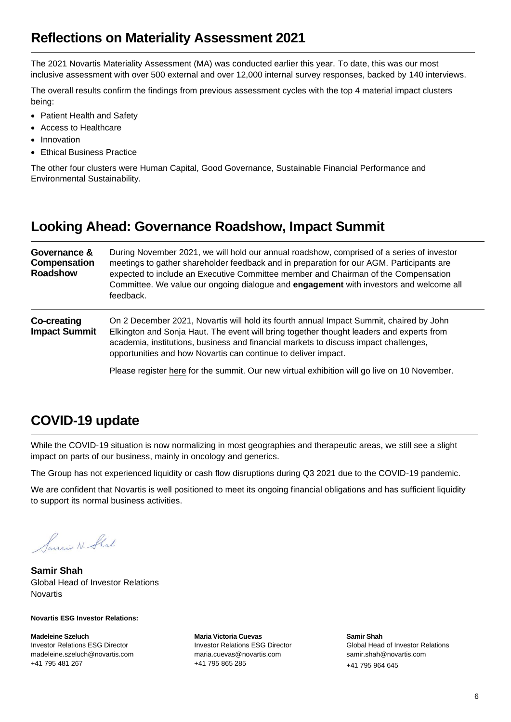### **Reflections on Materiality Assessment 2021**

The 2021 Novartis Materiality Assessment (MA) was conducted earlier this year. To date, this was our most inclusive assessment with over 500 external and over 12,000 internal survey responses, backed by 140 interviews.

The overall results confirm the findings from previous assessment cycles with the top 4 material impact clusters being:

- Patient Health and Safety
- Access to Healthcare
- **Innovation**
- Ethical Business Practice

The other four clusters were Human Capital, Good Governance, Sustainable Financial Performance and Environmental Sustainability.

### <span id="page-5-0"></span>**Looking Ahead: Governance Roadshow, Impact Summit**

| Governance &<br>Compensation<br><b>Roadshow</b> | During November 2021, we will hold our annual roadshow, comprised of a series of investor<br>meetings to gather shareholder feedback and in preparation for our AGM. Participants are<br>expected to include an Executive Committee member and Chairman of the Compensation<br>Committee. We value our ongoing dialogue and engagement with investors and welcome all<br>feedback. |
|-------------------------------------------------|------------------------------------------------------------------------------------------------------------------------------------------------------------------------------------------------------------------------------------------------------------------------------------------------------------------------------------------------------------------------------------|
| <b>Co-creating</b><br><b>Impact Summit</b>      | On 2 December 2021, Novartis will hold its fourth annual Impact Summit, chaired by John<br>Elkington and Sonja Haut. The event will bring together thought leaders and experts from<br>academia, institutions, business and financial markets to discuss impact challenges,<br>opportunities and how Novartis can continue to deliver impact.                                      |
|                                                 | Please register here for the summit. Our new virtual exhibition will go live on 10 November.                                                                                                                                                                                                                                                                                       |

### <span id="page-5-1"></span>**COVID-19 update**

While the COVID-19 situation is now normalizing in most geographies and therapeutic areas, we still see a slight impact on parts of our business, mainly in oncology and generics.

The Group has not experienced liquidity or cash flow disruptions during Q3 2021 due to the COVID-19 pandemic.

We are confident that Novartis is well positioned to meet its ongoing financial obligations and has sufficient liquidity to support its normal business activities.

Samin N. Shal

**Samir Shah** Global Head of Investor Relations Novartis

#### **Novartis ESG Investor Relations:**

**Madeleine Szeluch**  Investor Relations ESG Director [madeleine.szeluch@novartis.com](mailto:madeleine.szeluch@novartis.com) +41 795 481 267

**Maria Victoria Cuevas**  Investor Relations ESG Director [maria.cuevas@novartis.com](mailto:maria.cuevas@novartis.com)  +41 795 865 285

**Samir Shah** Global Head of Investor Relations [samir.shah@novartis.com](mailto:samir.shah@novartis.com)  +41 795 964 645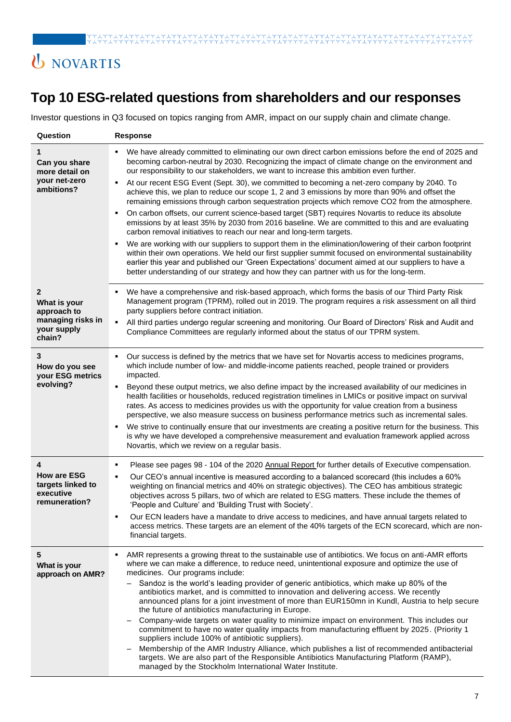# U NOVARTIS

# **Top 10 ESG-related questions from shareholders and our responses**

Investor questions in Q3 focused on topics ranging from AMR, impact on our supply chain and climate change.

| Question                                                                       | <b>Response</b>                                                                                                                                                                                                                                                                                                                                                                                                                                                                                                                                                                                                                                                                                                                                                                                                                                                                                                                                                                                                                                                                                                                                                                                                                                                                                                                |
|--------------------------------------------------------------------------------|--------------------------------------------------------------------------------------------------------------------------------------------------------------------------------------------------------------------------------------------------------------------------------------------------------------------------------------------------------------------------------------------------------------------------------------------------------------------------------------------------------------------------------------------------------------------------------------------------------------------------------------------------------------------------------------------------------------------------------------------------------------------------------------------------------------------------------------------------------------------------------------------------------------------------------------------------------------------------------------------------------------------------------------------------------------------------------------------------------------------------------------------------------------------------------------------------------------------------------------------------------------------------------------------------------------------------------|
| Can you share<br>more detail on<br>your net-zero<br>ambitions?                 | We have already committed to eliminating our own direct carbon emissions before the end of 2025 and<br>becoming carbon-neutral by 2030. Recognizing the impact of climate change on the environment and<br>our responsibility to our stakeholders, we want to increase this ambition even further.<br>At our recent ESG Event (Sept. 30), we committed to becoming a net-zero company by 2040. To<br>٠<br>achieve this, we plan to reduce our scope 1, 2 and 3 emissions by more than 90% and offset the<br>remaining emissions through carbon sequestration projects which remove CO2 from the atmosphere.<br>On carbon offsets, our current science-based target (SBT) requires Novartis to reduce its absolute<br>٠<br>emissions by at least 35% by 2030 from 2016 baseline. We are committed to this and are evaluating<br>carbon removal initiatives to reach our near and long-term targets.<br>We are working with our suppliers to support them in the elimination/lowering of their carbon footprint<br>٠<br>within their own operations. We held our first supplier summit focused on environmental sustainability<br>earlier this year and published our 'Green Expectations' document aimed at our suppliers to have a<br>better understanding of our strategy and how they can partner with us for the long-term. |
| 2<br>What is your<br>approach to<br>managing risks in<br>your supply<br>chain? | We have a comprehensive and risk-based approach, which forms the basis of our Third Party Risk<br>Management program (TPRM), rolled out in 2019. The program requires a risk assessment on all third<br>party suppliers before contract initiation.<br>All third parties undergo regular screening and monitoring. Our Board of Directors' Risk and Audit and<br>Compliance Committees are regularly informed about the status of our TPRM system.                                                                                                                                                                                                                                                                                                                                                                                                                                                                                                                                                                                                                                                                                                                                                                                                                                                                             |
| 3<br>How do you see<br>your ESG metrics<br>evolving?                           | Our success is defined by the metrics that we have set for Novartis access to medicines programs,<br>which include number of low- and middle-income patients reached, people trained or providers<br>impacted.<br>Beyond these output metrics, we also define impact by the increased availability of our medicines in<br>٠<br>health facilities or households, reduced registration timelines in LMICs or positive impact on survival<br>rates. As access to medicines provides us with the opportunity for value creation from a business<br>perspective, we also measure success on business performance metrics such as incremental sales.<br>We strive to continually ensure that our investments are creating a positive return for the business. This<br>is why we have developed a comprehensive measurement and evaluation framework applied across<br>Novartis, which we review on a regular basis.                                                                                                                                                                                                                                                                                                                                                                                                                  |
| 4<br><b>How are ESG</b><br>targets linked to<br>executive<br>remuneration?     | Please see pages 98 - 104 of the 2020 Annual Report for further details of Executive compensation.<br>$\blacksquare$<br>Our CEO's annual incentive is measured according to a balanced scorecard (this includes a 60%<br>weighting on financial metrics and 40% on strategic objectives). The CEO has ambitious strategic<br>objectives across 5 pillars, two of which are related to ESG matters. These include the themes of<br>'People and Culture' and 'Building Trust with Society'.<br>Our ECN leaders have a mandate to drive access to medicines, and have annual targets related to<br>access metrics. These targets are an element of the 40% targets of the ECN scorecard, which are non-<br>financial targets.                                                                                                                                                                                                                                                                                                                                                                                                                                                                                                                                                                                                     |
| 5<br>What is your<br>approach on AMR?                                          | AMR represents a growing threat to the sustainable use of antibiotics. We focus on anti-AMR efforts<br>where we can make a difference, to reduce need, unintentional exposure and optimize the use of<br>medicines. Our programs include:<br>Sandoz is the world's leading provider of generic antibiotics, which make up 80% of the<br>antibiotics market, and is committed to innovation and delivering access. We recently<br>announced plans for a joint investment of more than EUR150mn in Kundl, Austria to help secure<br>the future of antibiotics manufacturing in Europe.<br>Company-wide targets on water quality to minimize impact on environment. This includes our<br>commitment to have no water quality impacts from manufacturing effluent by 2025. (Priority 1<br>suppliers include 100% of antibiotic suppliers).<br>Membership of the AMR Industry Alliance, which publishes a list of recommended antibacterial<br>targets. We are also part of the Responsible Antibiotics Manufacturing Platform (RAMP),<br>managed by the Stockholm International Water Institute.                                                                                                                                                                                                                                   |